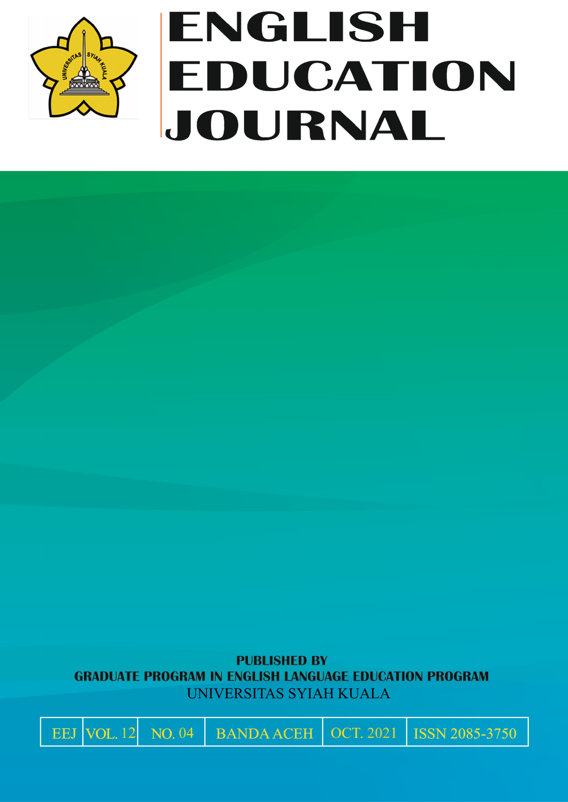

# ENGLISH EDUCATION JOURNAL

**PUBLISHED BY GRADUATE PROGRAM IN ENGLISH LANGUAGE EDUCATION PROGRAM** UNIVERSITAS SYIAH KUALA

 $\big|$  EEJ VOL. 12 NO. 04 BANDA ACEH OCT. 2021

ISSN 2085-3750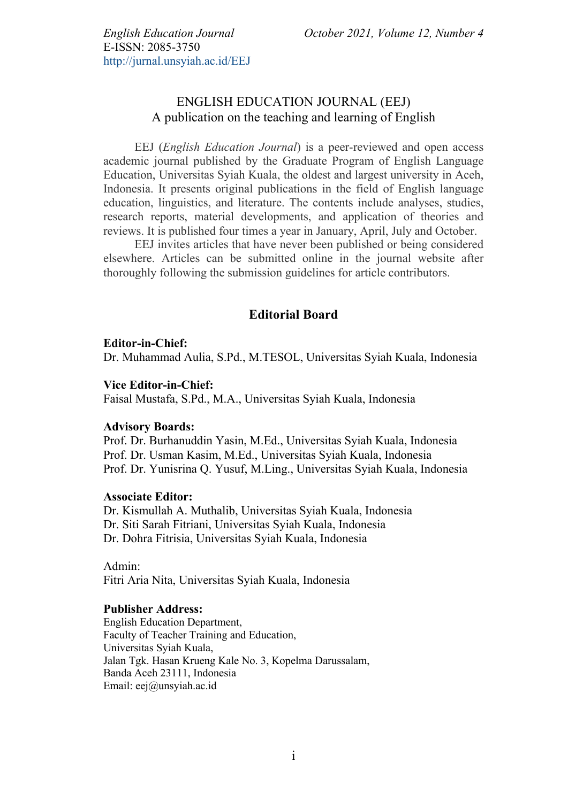E-ISSN: 2085-3750 http://jurnal.unsyiah.ac.id/EEJ

# ENGLISH EDUCATION JOURNAL (EEJ) A publication on the teaching and learning of English

EEJ (*English Education Journal*) is a peer-reviewed and open access academic journal published by the Graduate Program of English Language Education, Universitas Syiah Kuala, the oldest and largest university in Aceh, Indonesia. It presents original publications in the field of English language education, linguistics, and literature. The contents include analyses, studies, research reports, material developments, and application of theories and reviews. It is published four times a year in January, April, July and October.

EEJ invites articles that have never been published or being considered elsewhere. Articles can be submitted online in the journal website after thoroughly following the submission guidelines for article contributors.

## **Editorial Board**

#### **Editor-in-Chief:**

Dr. Muhammad Aulia, S.Pd., M.TESOL, Universitas Syiah Kuala, Indonesia

#### **Vice Editor-in-Chief:**

Faisal Mustafa, S.Pd., M.A., Universitas Syiah Kuala, Indonesia

#### **Advisory Boards:**

Prof. Dr. Burhanuddin Yasin, M.Ed., Universitas Syiah Kuala, Indonesia Prof. Dr. Usman Kasim, M.Ed., Universitas Syiah Kuala, Indonesia Prof. Dr. Yunisrina Q. Yusuf, M.Ling., Universitas Syiah Kuala, Indonesia

#### **Associate Editor:**

Dr. Kismullah A. Muthalib, Universitas Syiah Kuala, Indonesia Dr. Siti Sarah Fitriani, Universitas Syiah Kuala, Indonesia Dr. Dohra Fitrisia, Universitas Syiah Kuala, Indonesia

Admin: Fitri Aria Nita, Universitas Syiah Kuala, Indonesia

### **Publisher Address:**

English Education Department, Faculty of Teacher Training and Education, Universitas Syiah Kuala, Jalan Tgk. Hasan Krueng Kale No. 3, Kopelma Darussalam, Banda Aceh 23111, Indonesia Email: eej@unsyiah.ac.id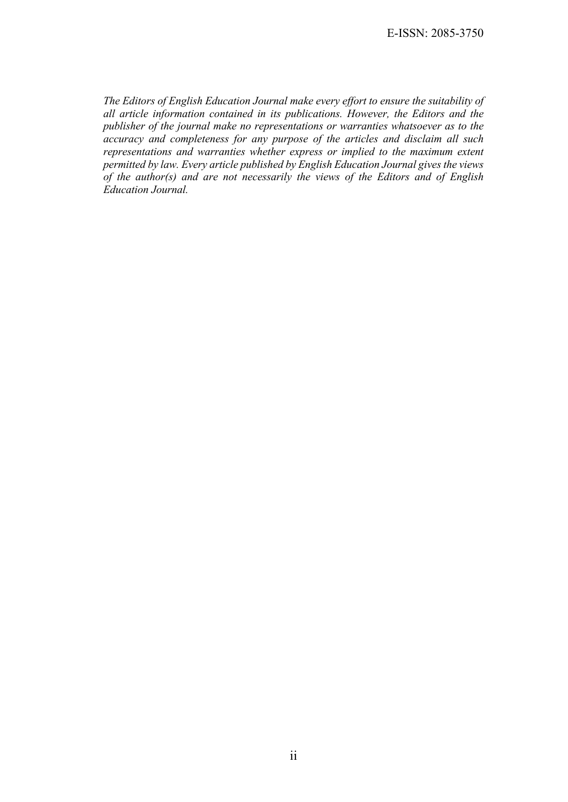E-ISSN: 2085-3750

*The Editors of English Education Journal make every effort to ensure the suitability of all article information contained in its publications. However, the Editors and the publisher of the journal make no representations or warranties whatsoever as to the accuracy and completeness for any purpose of the articles and disclaim all such representations and warranties whether express or implied to the maximum extent permitted by law. Every article published by English Education Journal gives the views of the author(s) and are not necessarily the views of the Editors and of English Education Journal.*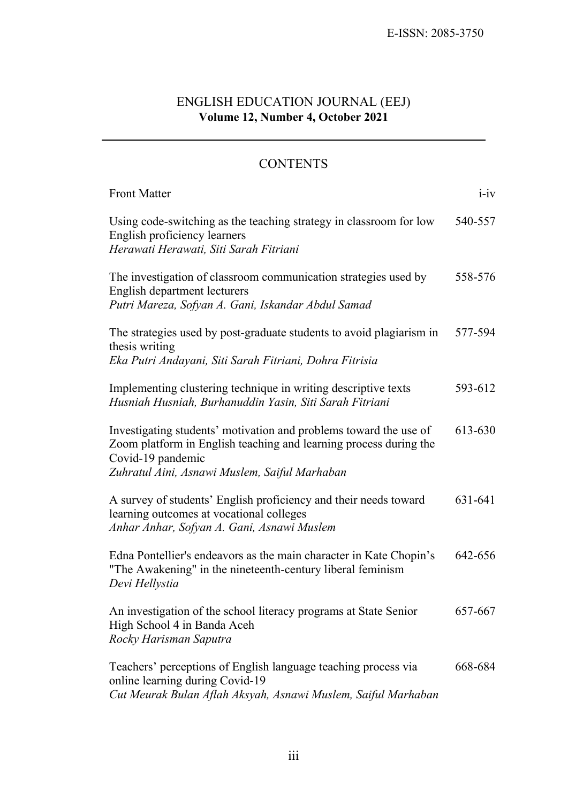# ENGLISH EDUCATION JOURNAL (EEJ) **Volume 12, Number 4, October 2021**

# **CONTENTS**

| <b>Front Matter</b>                                                                                                                                                                                          | $i$ -iv |
|--------------------------------------------------------------------------------------------------------------------------------------------------------------------------------------------------------------|---------|
| Using code-switching as the teaching strategy in classroom for low<br>English proficiency learners<br>Herawati Herawati, Siti Sarah Fitriani                                                                 | 540-557 |
| The investigation of classroom communication strategies used by<br>English department lecturers<br>Putri Mareza, Sofyan A. Gani, Iskandar Abdul Samad                                                        | 558-576 |
| The strategies used by post-graduate students to avoid plagiarism in<br>thesis writing<br>Eka Putri Andayani, Siti Sarah Fitriani, Dohra Fitrisia                                                            | 577-594 |
| Implementing clustering technique in writing descriptive texts<br>Husniah Husniah, Burhanuddin Yasin, Siti Sarah Fitriani                                                                                    | 593-612 |
| Investigating students' motivation and problems toward the use of<br>Zoom platform in English teaching and learning process during the<br>Covid-19 pandemic<br>Zuhratul Aini, Asnawi Muslem, Saiful Marhaban | 613-630 |
| A survey of students' English proficiency and their needs toward<br>learning outcomes at vocational colleges<br>Anhar Anhar, Sofyan A. Gani, Asnawi Muslem                                                   | 631-641 |
| Edna Pontellier's endeavors as the main character in Kate Chopin's<br>"The Awakening" in the nineteenth-century liberal feminism<br>Devi Hellystia                                                           | 642-656 |
| An investigation of the school literacy programs at State Senior<br>High School 4 in Banda Aceh<br>Rocky Harisman Saputra                                                                                    | 657-667 |
| Teachers' perceptions of English language teaching process via<br>online learning during Covid-19<br>Cut Meurak Bulan Aflah Aksyah, Asnawi Muslem, Saiful Marhaban                                           | 668-684 |